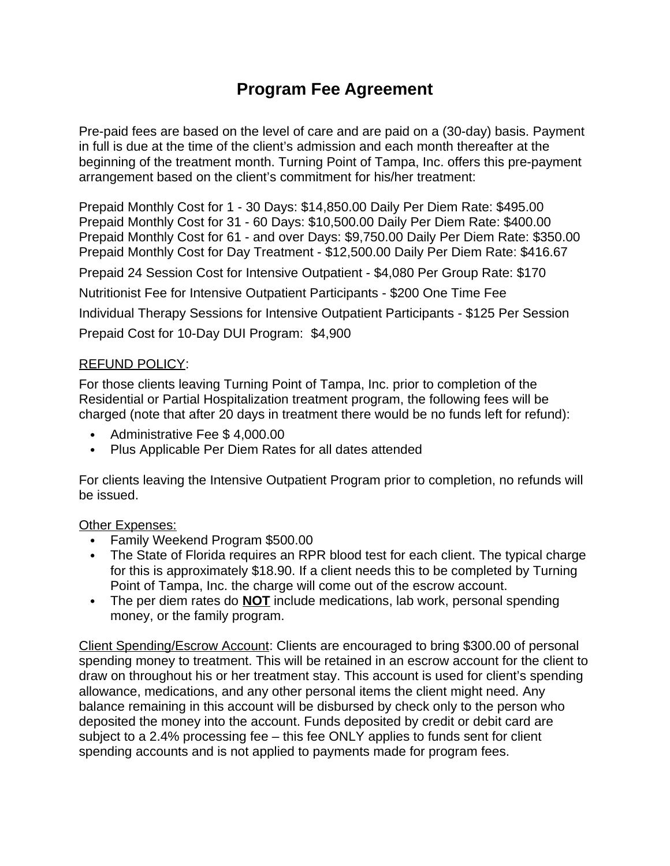## **Program Fee Agreement**

Pre-paid fees are based on the level of care and are paid on a (30-day) basis. Payment in full is due at the time of the client's admission and each month thereafter at the beginning of the treatment month. Turning Point of Tampa, Inc. offers this pre-payment arrangement based on the client's commitment for his/her treatment:

Prepaid Monthly Cost for 1 - 30 Days: \$14,850.00 Daily Per Diem Rate: \$495.00 Prepaid Monthly Cost for 31 - 60 Days: \$10,500.00 Daily Per Diem Rate: \$400.00 Prepaid Monthly Cost for 61 - and over Days: \$9,750.00 Daily Per Diem Rate: \$350.00 Prepaid Monthly Cost for Day Treatment - \$12,500.00 Daily Per Diem Rate: \$416.67

Prepaid 24 Session Cost for Intensive Outpatient - \$4,080 Per Group Rate: \$170

Nutritionist Fee for Intensive Outpatient Participants - \$200 One Time Fee

Individual Therapy Sessions for Intensive Outpatient Participants - \$125 Per Session Prepaid Cost for 10-Day DUI Program: \$4,900

## REFUND POLICY:

For those clients leaving Turning Point of Tampa, Inc. prior to completion of the Residential or Partial Hospitalization treatment program, the following fees will be charged (note that after 20 days in treatment there would be no funds left for refund):

- Administrative Fee \$ 4,000.00
- Plus Applicable Per Diem Rates for all dates attended

For clients leaving the Intensive Outpatient Program prior to completion, no refunds will be issued.

## Other Expenses:

- Family Weekend Program \$500.00
- The State of Florida requires an RPR blood test for each client. The typical charge for this is approximately \$18.90. If a client needs this to be completed by Turning Point of Tampa, Inc. the charge will come out of the escrow account.
- The per diem rates do **NOT** include medications, lab work, personal spending money, or the family program.

Client Spending/Escrow Account: Clients are encouraged to bring \$300.00 of personal spending money to treatment. This will be retained in an escrow account for the client to draw on throughout his or her treatment stay. This account is used for client's spending allowance, medications, and any other personal items the client might need. Any balance remaining in this account will be disbursed by check only to the person who deposited the money into the account. Funds deposited by credit or debit card are subject to a 2.4% processing fee – this fee ONLY applies to funds sent for client spending accounts and is not applied to payments made for program fees.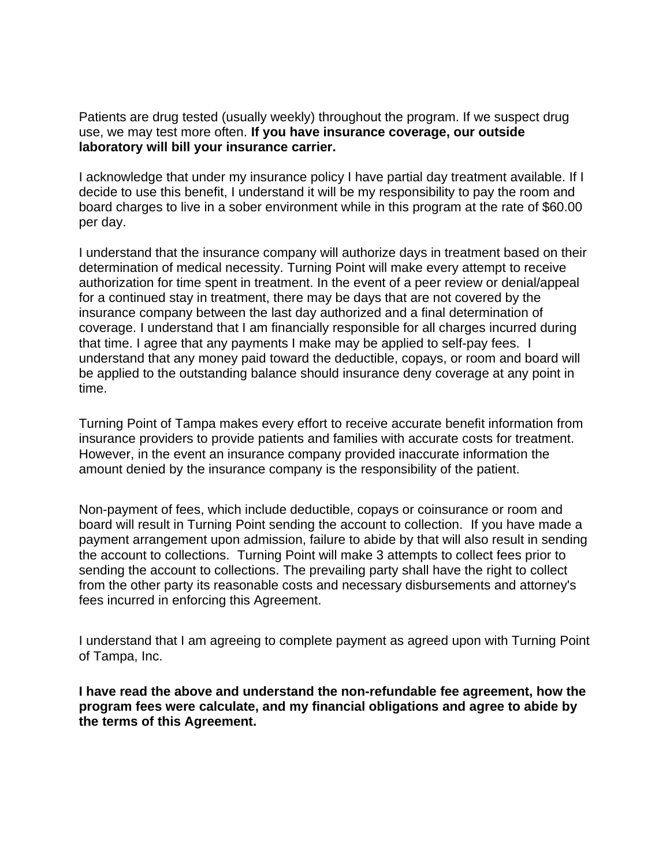Patients are drug tested (usually weekly) throughout the program. If we suspect drug use, we may test more often. **If you have insurance coverage, our outside laboratory will bill your insurance carrier.**

I acknowledge that under my insurance policy I have partial day treatment available. If I decide to use this benefit, I understand it will be my responsibility to pay the room and board charges to live in a sober environment while in this program at the rate of \$60.00 per day.

I understand that the insurance company will authorize days in treatment based on their determination of medical necessity. Turning Point will make every attempt to receive authorization for time spent in treatment. In the event of a peer review or denial/appeal for a continued stay in treatment, there may be days that are not covered by the insurance company between the last day authorized and a final determination of coverage. I understand that I am financially responsible for all charges incurred during that time. I agree that any payments I make may be applied to self-pay fees. I understand that any money paid toward the deductible, copays, or room and board will be applied to the outstanding balance should insurance deny coverage at any point in time.

Turning Point of Tampa makes every effort to receive accurate benefit information from insurance providers to provide patients and families with accurate costs for treatment. However, in the event an insurance company provided inaccurate information the amount denied by the insurance company is the responsibility of the patient.

Non-payment of fees, which include deductible, copays or coinsurance or room and board will result in Turning Point sending the account to collection. If you have made a payment arrangement upon admission, failure to abide by that will also result in sending the account to collections. Turning Point will make 3 attempts to collect fees prior to sending the account to collections. The prevailing party shall have the right to collect from the other party its reasonable costs and necessary disbursements and attorney's fees incurred in enforcing this Agreement.

I understand that I am agreeing to complete payment as agreed upon with Turning Point of Tampa, Inc.

**I have read the above and understand the non-refundable fee agreement, how the program fees were calculate, and my financial obligations and agree to abide by the terms of this Agreement.**